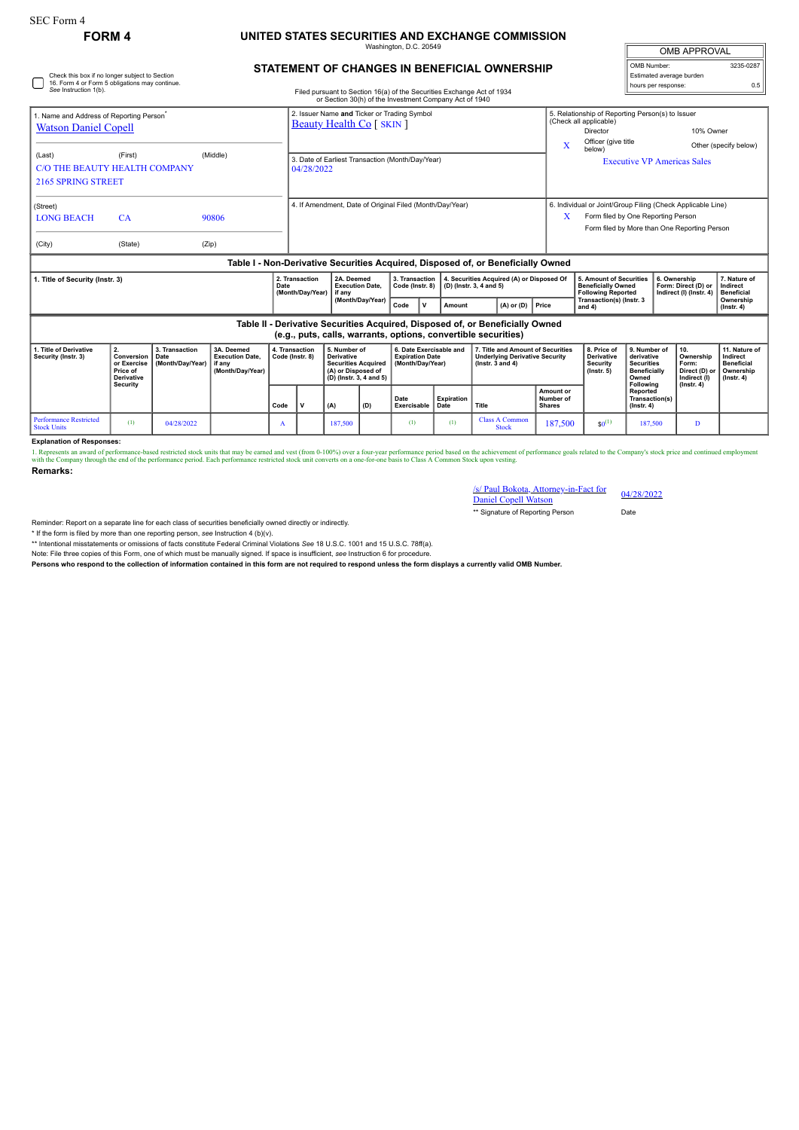Check this box if no longer subject to Section 16. Form 4 or Form 5 obligations may continue. *See* Instruction 1(b).

## **FORM 4 UNITED STATES SECURITIES AND EXCHANGE COMMISSION**

Washington, D.C. 20549

## **STATEMENT OF CHANGES IN BENEFICIAL OWNERSHIP**

Filed pursuant to Section 16(a) of the Securities Exchange Act of 1934 or Section 30(h) of the Investment Company Act of 1940

| <b>OMB APPROVAL</b>      |           |
|--------------------------|-----------|
| OMB Number:              | 3235-0287 |
| Estimated average burden |           |
| hours per response:      | 0.5       |

| 1. Name and Address of Reporting Person<br><b>Watson Daniel Copell</b><br>(Last)<br>2165 SPRING STREET                                                                                                                                                                                                                                                                                                                                                                                                                                                                                                                        | (First)<br>C/O THE BEAUTY HEALTH COMPANY | (Middle)       |  | 2. Issuer Name and Ticker or Trading Symbol<br><b>Beauty Health Co</b> [ SKIN ]<br>3. Date of Earliest Transaction (Month/Day/Year)<br>04/28/2022 |  |  |  |  | x | 5. Relationship of Reporting Person(s) to Issuer<br>(Check all applicable)<br>Director<br>Officer (give title<br>below)                           | 10% Owner<br><b>Executive VP Americas Sales</b> | Other (specify below) |  |
|-------------------------------------------------------------------------------------------------------------------------------------------------------------------------------------------------------------------------------------------------------------------------------------------------------------------------------------------------------------------------------------------------------------------------------------------------------------------------------------------------------------------------------------------------------------------------------------------------------------------------------|------------------------------------------|----------------|--|---------------------------------------------------------------------------------------------------------------------------------------------------|--|--|--|--|---|---------------------------------------------------------------------------------------------------------------------------------------------------|-------------------------------------------------|-----------------------|--|
| (Street)<br><b>LONG BEACH</b><br>(City)                                                                                                                                                                                                                                                                                                                                                                                                                                                                                                                                                                                       | <b>CA</b><br>(State)                     | 90806<br>(Zip) |  | 4. If Amendment, Date of Original Filed (Month/Day/Year)                                                                                          |  |  |  |  | X | 6. Individual or Joint/Group Filing (Check Applicable Line)<br>Form filed by One Reporting Person<br>Form filed by More than One Reporting Person |                                                 |                       |  |
| Table I - Non-Derivative Securities Acquired, Disposed of, or Beneficially Owned<br>4. Securities Acquired (A) or Disposed Of<br>2A. Deemed<br>3. Transaction<br>7. Nature of<br>2. Transaction<br>5. Amount of Securities<br>6. Ownership<br>1. Title of Security (Instr. 3)<br>(D) (Instr. 3, 4 and 5)<br><b>Beneficially Owned</b><br>Form: Direct (D) or<br>Date<br><b>Execution Date,</b><br>Code (Instr. 8)<br>Indirect<br>(Month/Day/Year)<br><b>Following Reported</b><br>Indirect (I) (Instr. 4)<br><b>Beneficial</b><br>if any<br>(Month/Day/Year)<br>Transaction(s) (Instr. 3<br>Ownership<br>$(A)$ or $(D)$ Price |                                          |                |  |                                                                                                                                                   |  |  |  |  |   |                                                                                                                                                   |                                                 |                       |  |

| Table II - Derivative Securities Acquired, Disposed of, or Beneficially Owned |                                                                |  |
|-------------------------------------------------------------------------------|----------------------------------------------------------------|--|
|                                                                               | (e.g., puts, calls, warrants, options, convertible securities) |  |

| 1. Title of Derivative<br>Security (Instr. 3) | <b>Conversion   Date</b><br>or Exercise<br>Price of<br><b>Derivative</b><br>Security | 3. Transaction<br>(Month/Day/Year) | 3A. Deemed<br><b>Execution Date.</b><br>if anv<br>(Month/Dav/Year) | 4. Transaction<br>Code (Instr. 8) | 5. Number of<br><b>Derivative</b><br><b>Securities Acquired</b><br>(A) or Disposed of<br>(D) (Instr. 3, 4 and 5) |     | 6. Date Exercisable and<br><b>Expiration Date</b><br>(Month/Day/Year) |                      | 7. Title and Amount of Securities<br><b>Underlying Derivative Security</b><br>( $lnstr. 3 and 4$ ) |                                                | 8. Price of<br>Derivative<br><b>Security</b><br>$($ lnstr. 5 $)$ | 9. Number of<br>derivative<br><b>Securities</b><br><b>Beneficially</b><br>Owned | 10.<br>Ownership<br>Form:<br>Direct (D) or<br>Indirect (I) | 11. Nature of<br>Indirect<br><b>Beneficial</b><br>Ownership<br>(Instr. 4) |
|-----------------------------------------------|--------------------------------------------------------------------------------------|------------------------------------|--------------------------------------------------------------------|-----------------------------------|------------------------------------------------------------------------------------------------------------------|-----|-----------------------------------------------------------------------|----------------------|----------------------------------------------------------------------------------------------------|------------------------------------------------|------------------------------------------------------------------|---------------------------------------------------------------------------------|------------------------------------------------------------|---------------------------------------------------------------------------|
|                                               |                                                                                      |                                    |                                                                    | Code                              | (A)                                                                                                              | (D) | Date<br>Exercisable                                                   | Expiration  <br>Date | Title                                                                                              | <b>Amount or</b><br>Number of<br><b>Shares</b> |                                                                  | Following<br>Reported<br>Transaction(s)<br>$($ lnstr. 4 $)$                     | $($ lnstr $, 4)$                                           |                                                                           |
| <b>Performance Restricted</b><br>Stock Units  | (1)                                                                                  | 04/28/2022                         |                                                                    | $\mathbf{A}$                      | 187.500                                                                                                          |     | $\omega$                                                              | (1)                  | <b>Class A Common</b><br><b>Stock</b>                                                              | 187,500                                        | $$0^{(1)}$                                                       | 187.500                                                                         |                                                            |                                                                           |

**Explanation of Responses:**

1. Represents an award of performance-based restricted stock units that may be earned and vest (from 0-100%) over a four-year performance period based on the achievement of performance goals related to the Company's stock

**Remarks:**

## /s/ Paul Bokota, Attorney-in-Fact for 04/28/2022

Daniel Copell Watson \*\* Signature of Reporting Person Date

Reminder: Report on a separate line for each class of securities beneficially owned directly or indirectly.

\* If the form is filed by more than one reporting person, *see* Instruction 4 (b)(v).

\*\* Intentional misstatements or omissions of facts constitute Federal Criminal Violations *See* 18 U.S.C. 1001 and 15 U.S.C. 78ff(a).

Note: File three copies of this Form, one of which must be manually signed. If space is insufficient, *see* Instruction 6 for procedure.

**Persons who respond to the collection of information contained in this form are not required to respond unless the form displays a currently valid OMB Number.**